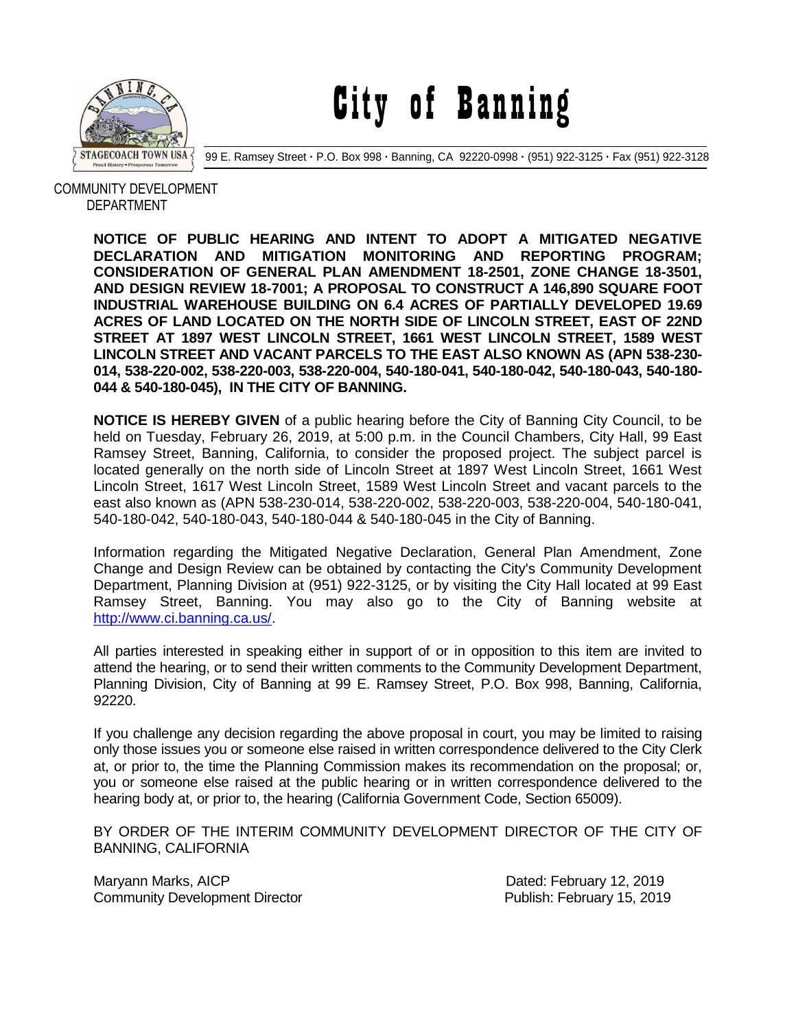

City of Banning

99 E. Ramsey Street **·** P.O. Box 998 **·** Banning, CA 92220-0998 **·** (951) 922-3125 **·** Fax (951) 922-3128

 COMMUNITY DEVELOPMENT DEPARTMENT

> **NOTICE OF PUBLIC HEARING AND INTENT TO ADOPT A MITIGATED NEGATIVE DECLARATION AND MITIGATION MONITORING AND REPORTING PROGRAM; CONSIDERATION OF GENERAL PLAN AMENDMENT 18-2501, ZONE CHANGE 18-3501, AND DESIGN REVIEW 18-7001; A PROPOSAL TO CONSTRUCT A 146,890 SQUARE FOOT INDUSTRIAL WAREHOUSE BUILDING ON 6.4 ACRES OF PARTIALLY DEVELOPED 19.69 ACRES OF LAND LOCATED ON THE NORTH SIDE OF LINCOLN STREET, EAST OF 22ND STREET AT 1897 WEST LINCOLN STREET, 1661 WEST LINCOLN STREET, 1589 WEST LINCOLN STREET AND VACANT PARCELS TO THE EAST ALSO KNOWN AS (APN 538-230- 014, 538-220-002, 538-220-003, 538-220-004, 540-180-041, 540-180-042, 540-180-043, 540-180- 044 & 540-180-045), IN THE CITY OF BANNING.**

> **NOTICE IS HEREBY GIVEN** of a public hearing before the City of Banning City Council, to be held on Tuesday, February 26, 2019, at 5:00 p.m. in the Council Chambers, City Hall, 99 East Ramsey Street, Banning, California, to consider the proposed project. The subject parcel is located generally on the north side of Lincoln Street at 1897 West Lincoln Street, 1661 West Lincoln Street, 1617 West Lincoln Street, 1589 West Lincoln Street and vacant parcels to the east also known as (APN 538-230-014, 538-220-002, 538-220-003, 538-220-004, 540-180-041, 540-180-042, 540-180-043, 540-180-044 & 540-180-045 in the City of Banning.

> Information regarding the Mitigated Negative Declaration, General Plan Amendment, Zone Change and Design Review can be obtained by contacting the City's Community Development Department, Planning Division at (951) 922-3125, or by visiting the City Hall located at 99 East Ramsey Street, Banning. You may also go to the City of Banning website at [http://www.ci.banning.ca.us/.](http://www.ci.banning.ca.us/)

> All parties interested in speaking either in support of or in opposition to this item are invited to attend the hearing, or to send their written comments to the Community Development Department, Planning Division, City of Banning at 99 E. Ramsey Street, P.O. Box 998, Banning, California, 92220.

> If you challenge any decision regarding the above proposal in court, you may be limited to raising only those issues you or someone else raised in written correspondence delivered to the City Clerk at, or prior to, the time the Planning Commission makes its recommendation on the proposal; or, you or someone else raised at the public hearing or in written correspondence delivered to the hearing body at, or prior to, the hearing (California Government Code, Section 65009).

> BY ORDER OF THE INTERIM COMMUNITY DEVELOPMENT DIRECTOR OF THE CITY OF BANNING, CALIFORNIA

Maryann Marks, AICP **Date of All Allie And All According to All According Control Control Dated: February 12, 2019** Community Development Director **Publish: February 15, 2019**